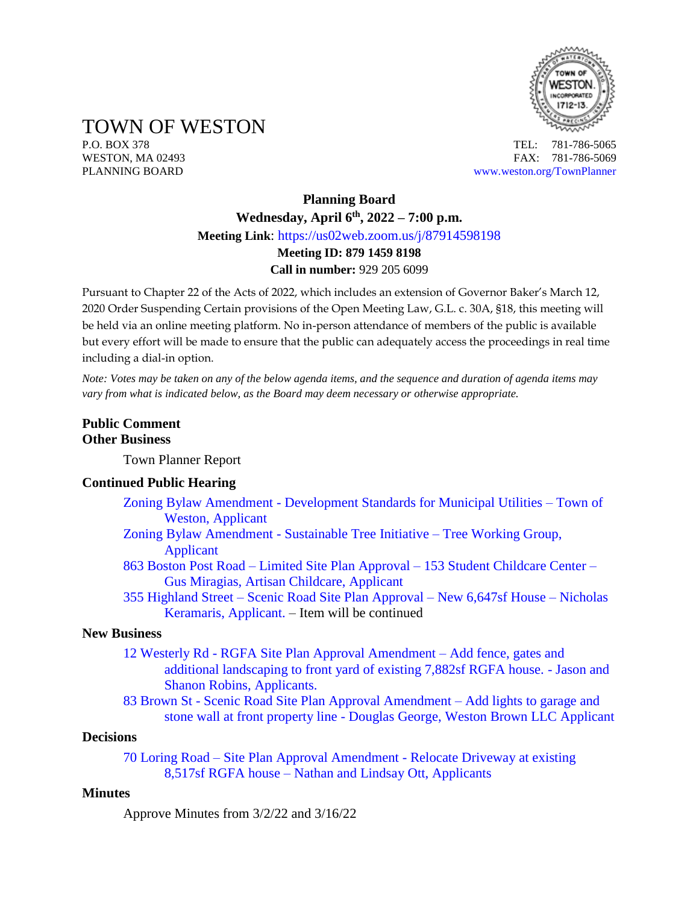

TOWN OF WESTON

P.O. BOX 378 TEL: 781-786-5065 WESTON, MA 02493 **FAX: 781-786-5069** PLANNING BOARD [www.weston.org/TownPlanner](http://www.weston.org/TownPlanner)

# **Planning Board Wednesday, April 6 th , 2022 – 7:00 p.m. Meeting Link**: <https://us02web.zoom.us/j/87914598198> **Meeting ID: 879 1459 8198 Call in number:** 929 205 6099

Pursuant to Chapter 22 of the Acts of 2022, which includes an extension of Governor Baker's March 12, 2020 Order Suspending Certain provisions of the Open Meeting Law, G.L. c. 30A, §18, this meeting will be held via an online meeting platform. No in-person attendance of members of the public is available but every effort will be made to ensure that the public can adequately access the proceedings in real time including a dial-in option.

*Note: Votes may be taken on any of the below agenda items, and the sequence and duration of agenda items may vary from what is indicated below, as the Board may deem necessary or otherwise appropriate.*

### **Public Comment Other Business**

Town Planner Report

#### **Continued Public Hearing**

- Zoning Bylaw Amendment [Development Standards for Municipal Utilities –](https://www.westonma.gov/DocumentCenter/Index/4580) Town of [Weston, Applicant](https://www.westonma.gov/DocumentCenter/Index/4580)
- [Zoning Bylaw Amendment -](https://www.westonma.gov/DocumentCenter/Index/2283) Sustainable Tree Initiative Tree Working Group, [Applicant](https://www.westonma.gov/DocumentCenter/Index/2283)
- 863 Boston Post Road Limited Site Plan Approval [153 Student Childcare Center –](https://www.westonma.gov/DocumentCenter/Index/4598) [Gus Miragias, Artisan Childcare, Applicant](https://www.westonma.gov/DocumentCenter/Index/4598)
- 355 Highland Street [Scenic Road Site Plan Approval –](https://www.westonma.gov/DocumentCenter/Index/4612) New 6,647sf House Nicholas [Keramaris, Applicant. –](https://www.westonma.gov/DocumentCenter/Index/4612) Item will be continued

### **New Business**

- 12 Westerly Rd [RGFA Site Plan Approval Amendment –](https://www.westonma.gov/DocumentCenter/Index/4627) Add fence, gates and [additional landscaping to front yard of existing 7,882sf RGFA house.](https://www.westonma.gov/DocumentCenter/Index/4627) - Jason and [Shanon Robins, Applicants.](https://www.westonma.gov/DocumentCenter/Index/4627)
- 83 Brown St [Scenic Road Site Plan Approval Amendment –](https://www.westonma.gov/DocumentCenter/Index/4512) Add lights to garage and stone wall at front property line - [Douglas George, Weston Brown LLC](https://www.westonma.gov/DocumentCenter/Index/4512) Applicant

#### **Decisions**

70 Loring Road – [Site Plan Approval Amendment -](https://www.westonma.gov/DocumentCenter/Index/4546) Relocate Driveway at existing 8,517sf RGFA house – [Nathan and Lindsay Ott, Applicants](https://www.westonma.gov/DocumentCenter/Index/4546)

#### **Minutes**

Approve Minutes from 3/2/22 and 3/16/22